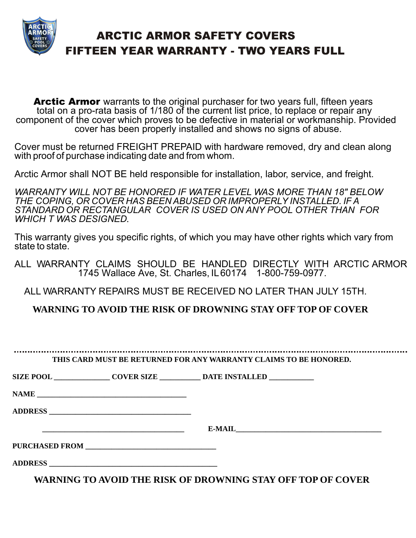

## ARCTIC ARMOR SAFETY COVERS FIFTEEN YEAR WARRANTY - TWO YEARS FULL

Arctic Armor warrants to the original purchaser for two years full, fifteen years total on a pro-rata basis of 1/180 of the current list price, to replace or repair any component of the cover which proves to be defective in material or workmanship. Provided cover has been properly installed and shows no signs of abuse.

Cover must be returned FREIGHT PREPAID with hardware removed, dry and clean along with proof of purchase indicating date and from whom.

Arctic Armor shall NOT BE held responsible for installation, labor, service, and freight.

*WARRANTY WILL NOT BE HONORED IF WATER LEVEL WAS MORE THAN 18" BELOW THE COPING, OR COVER HAS BEEN ABUSED OR IMPROPERLY INSTALLED. IF A STANDARD OR RECTANGULAR COVER IS USED ON ANY POOL OTHER THAN FOR WHICH T WAS DESIGNED.* 

This warranty gives you specific rights, of which you may have other rights which vary from state to state.

ALL WARRANTY CLAIMS SHOULD BE HANDLED DIRECTLY WITH ARCTIC ARMOR 1745 Wallace Ave, St. Charles, IL 60174 1-800-759-0977.

ALL WARRANTY REPAIRS MUST BE RECEIVED NO LATER THAN JULY 15TH.

**WARNING TO AVOID THE RISK OF DROWNING STAY OFF TOP OF COVER**

**THIS CARD MUST BE RETURNED FOR ANY WARRANTY CLAIMS TO BE HONORED.**

**SIZE POOL \_\_\_\_\_\_\_\_\_\_\_\_\_\_\_ COVER SIZE \_\_\_\_\_\_\_\_\_\_\_ DATE INSTALLED \_\_\_\_\_\_\_\_\_\_\_\_**

NAME

**ADDRESS \_\_\_\_\_\_\_\_\_\_\_\_\_\_\_\_\_\_\_\_\_\_\_\_\_\_\_\_\_\_\_\_\_\_\_\_\_\_**

 ${\bf E}\text{-}{\bf MAIL}$ 

**PURCHASED FROM \_\_\_\_\_\_\_\_\_\_\_\_\_\_\_\_\_\_\_\_\_\_\_\_\_\_\_\_\_\_\_\_\_\_\_**

**ADDRESS \_\_\_\_\_\_\_\_\_\_\_\_\_\_\_\_\_\_\_\_\_\_\_\_\_\_\_\_\_\_\_\_\_\_\_\_\_\_\_\_\_\_\_\_\_**

**WARNING TO AVOID THE RISK OF DROWNING STAY OFF TOP OF COVER**